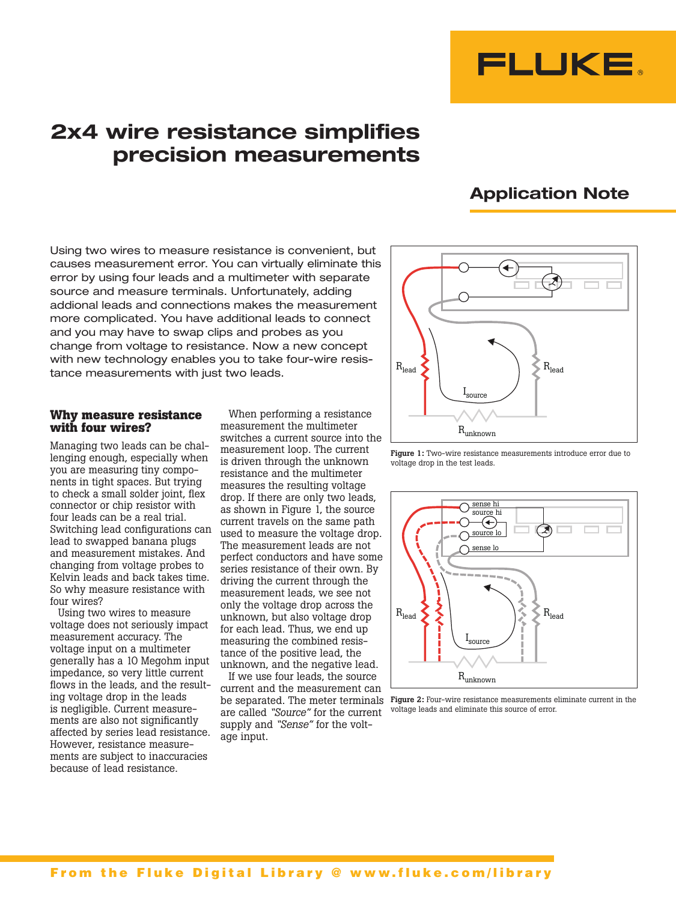

# **2x4 wire resistance simplifies precision measurements**

## **Application Note**

Using two wires to measure resistance is convenient, but causes measurement error. You can virtually eliminate this error by using four leads and a multimeter with separate source and measure terminals. Unfortunately, adding addional leads and connections makes the measurement more complicated. You have additional leads to connect and you may have to swap clips and probes as you change from voltage to resistance. Now a new concept with new technology enables you to take four-wire resistance measurements with just two leads.

#### **Why measure resistance with four wires?**

Managing two leads can be challenging enough, especially when you are measuring tiny components in tight spaces. But trying to check a small solder joint, flex connector or chip resistor with four leads can be a real trial. Switching lead configurations can lead to swapped banana plugs and measurement mistakes. And changing from voltage probes to Kelvin leads and back takes time. So why measure resistance with four wires?

Using two wires to measure voltage does not seriously impact measurement accuracy. The voltage input on a multimeter generally has a 10 Megohm input impedance, so very little current flows in the leads, and the resulting voltage drop in the leads is negligible. Current measurements are also not significantly affected by series lead resistance. However, resistance measurements are subject to inaccuracies because of lead resistance.

When performing a resistance measurement the multimeter switches a current source into the measurement loop. The current is driven through the unknown resistance and the multimeter measures the resulting voltage drop. If there are only two leads, as shown in Figure 1, the source current travels on the same path used to measure the voltage drop. The measurement leads are not perfect conductors and have some series resistance of their own. By driving the current through the measurement leads, we see not only the voltage drop across the unknown, but also voltage drop for each lead. Thus, we end up measuring the combined resistance of the positive lead, the unknown, and the negative lead.

If we use four leads, the source current and the measurement can are called *"Source"* for the current supply and *"Sense"* for the voltage input.



Figure 1: Two-wire resistance measurements introduce error due to voltage drop in the test leads.



be separated. The meter terminals Figure 2: Four-wire resistance measurements eliminate current in the voltage leads and eliminate this source of error.